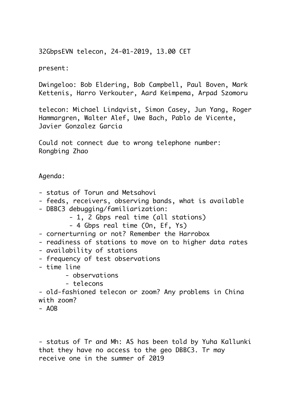32GbpsEVN telecon, 24-01-2019, 13.00 CET

present:

Dwingeloo: Bob Eldering, Bob Campbell, Paul Boven, Mark Kettenis, Harro Verkouter, Aard Keimpema, Arpad Szomoru

telecon: Michael Lindqvist, Simon Casey, Jun Yang, Roger Hammargren, Walter Alef, Uwe Bach, Pablo de Vicente, Javier Gonzalez Garcia

Could not connect due to wrong telephone number: Rongbing Zhao

Agenda:

- status of Torun and Metsahovi
- feeds, receivers, observing bands, what is available
- DBBC3 debugging/familiarization:
	- 1, 2 Gbps real time (all stations)
	- 4 Gbps real time (On, Ef, Ys)
- cornerturning or not? Remember the Harrobox
- readiness of stations to move on to higher data rates
- availability of stations
- frequency of test observations
- time line
	- observations
	- telecons

- old-fashioned telecon or zoom? Any problems in China with zoom?

 $- AOB$ 

- status of Tr and Mh: AS has been told by Yuha Kallunki that they have no access to the geo DBBC3. Tr may receive one in the summer of 2019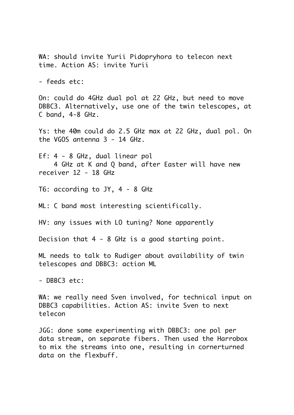WA: should invite Yurii Pidopryhora to telecon next time. Action AS: invite Yurii

- feeds etc:

On: could do 4GHz dual pol at 22 GHz, but need to move DBBC3. Alternatively, use one of the twin telescopes, at C band, 4-8 GHz.

Ys: the 40m could do 2.5 GHz max at 22 GHz, dual pol. On the VGOS antenna 3 - 14 GHz.

Ef: 4 - 8 GHz, dual linear pol 4 GHz at K and Q band, after Easter will have new receiver 12 - 18 GHz

T6: according to JY, 4 - 8 GHz

ML: C band most interesting scientifically.

HV: any issues with LO tuning? None apparently

Decision that 4 - 8 GHz is a good starting point.

ML needs to talk to Rudiger about availability of twin telescopes and DBBC3: action ML

- DBBC3 etc:

WA: we really need Sven involved, for technical input on DBBC3 capabilities. Action AS: invite Sven to next telecon

JGG: done some experimenting with DBBC3: one pol per data stream, on separate fibers. Then used the Harrobox to mix the streams into one, resulting in cornerturned data on the flexbuff.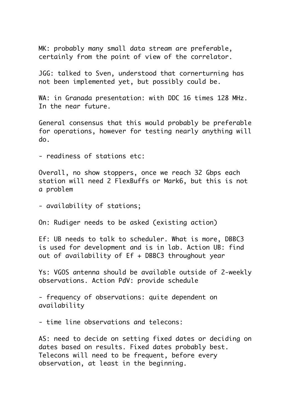MK: probably many small data stream are preferable, certainly from the point of view of the correlator.

JGG: talked to Sven, understood that cornerturning has not been implemented yet, but possibly could be.

WA: in Granada presentation: with DDC 16 times 128 MHz. In the near future.

General consensus that this would probably be preferable for operations, however for testing nearly anything will do.

- readiness of stations etc:

Overall, no show stoppers, once we reach 32 Gbps each station will need 2 FlexBuffs or Mark6, but this is not a problem

- availability of stations;

On: Rudiger needs to be asked (existing action)

Ef: UB needs to talk to scheduler. What is more, DBBC3 is used for development and is in lab. Action UB: find out of availability of Ef + DBBC3 throughout year

Ys: VGOS antenna should be available outside of 2-weekly observations. Action PdV: provide schedule

- frequency of observations: quite dependent on availability

- time line observations and telecons:

AS: need to decide on setting fixed dates or deciding on dates based on results. Fixed dates probably best. Telecons will need to be frequent, before every observation, at least in the beginning.